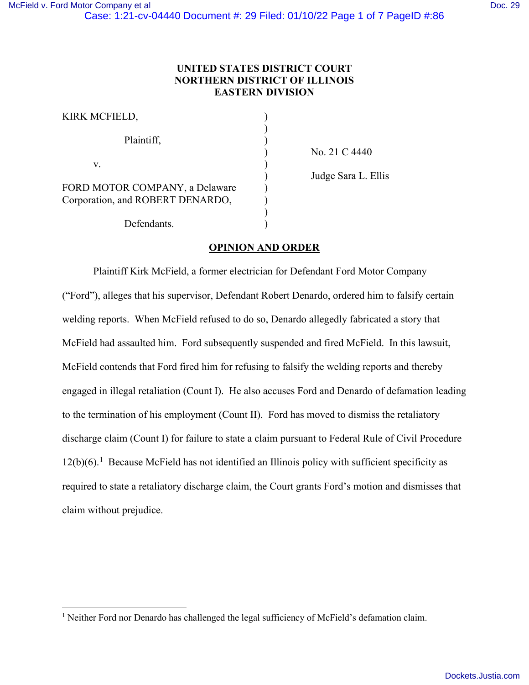# **UNITED STATES DISTRICT COURT NORTHERN DISTRICT OF ILLINOIS EASTERN DIVISION**

| KIRK MCFIELD,                                                      |  |
|--------------------------------------------------------------------|--|
| Plaintiff,                                                         |  |
| V.                                                                 |  |
| FORD MOTOR COMPANY, a Delaware<br>Corporation, and ROBERT DENARDO, |  |
| Defendants.                                                        |  |

 ) No. 21 C 4440 ) Judge Sara L. Ellis

## **OPINION AND ORDER**

Plaintiff Kirk McField, a former electrician for Defendant Ford Motor Company ("Ford"), alleges that his supervisor, Defendant Robert Denardo, ordered him to falsify certain welding reports. When McField refused to do so, Denardo allegedly fabricated a story that McField had assaulted him. Ford subsequently suspended and fired McField. In this lawsuit, McField contends that Ford fired him for refusing to falsify the welding reports and thereby engaged in illegal retaliation (Count I). He also accuses Ford and Denardo of defamation leading to the termination of his employment (Count II). Ford has moved to dismiss the retaliatory discharge claim (Count I) for failure to state a claim pursuant to Federal Rule of Civil Procedure  $12(b)(6)$  $12(b)(6)$ .<sup>1</sup> Because McField has not identified an Illinois policy with sufficient specificity as required to state a retaliatory discharge claim, the Court grants Ford's motion and dismisses that claim without prejudice.

<span id="page-0-0"></span><sup>&</sup>lt;sup>1</sup> Neither Ford nor Denardo has challenged the legal sufficiency of McField's defamation claim.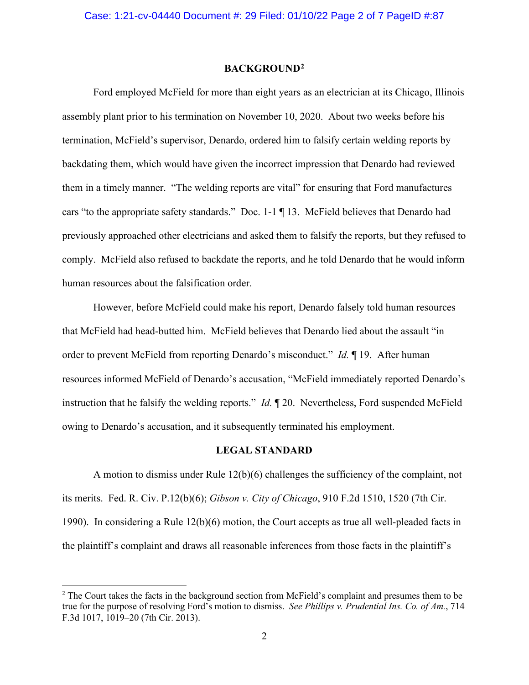#### **BACKGROUND[2](#page-1-0)**

 Ford employed McField for more than eight years as an electrician at its Chicago, Illinois assembly plant prior to his termination on November 10, 2020. About two weeks before his termination, McField's supervisor, Denardo, ordered him to falsify certain welding reports by backdating them, which would have given the incorrect impression that Denardo had reviewed them in a timely manner. "The welding reports are vital" for ensuring that Ford manufactures cars "to the appropriate safety standards." Doc. 1-1 ¶ 13. McField believes that Denardo had previously approached other electricians and asked them to falsify the reports, but they refused to comply. McField also refused to backdate the reports, and he told Denardo that he would inform human resources about the falsification order.

 However, before McField could make his report, Denardo falsely told human resources that McField had head-butted him. McField believes that Denardo lied about the assault "in order to prevent McField from reporting Denardo's misconduct." *Id.* ¶ 19. After human resources informed McField of Denardo's accusation, "McField immediately reported Denardo's instruction that he falsify the welding reports." *Id.* ¶ 20. Nevertheless, Ford suspended McField owing to Denardo's accusation, and it subsequently terminated his employment.

#### **LEGAL STANDARD**

A motion to dismiss under Rule 12(b)(6) challenges the sufficiency of the complaint, not its merits. Fed. R. Civ. P.12(b)(6); *Gibson v. City of Chicago*, 910 F.2d 1510, 1520 (7th Cir. 1990). In considering a Rule 12(b)(6) motion, the Court accepts as true all well-pleaded facts in the plaintiff's complaint and draws all reasonable inferences from those facts in the plaintiff's

<span id="page-1-0"></span><sup>&</sup>lt;sup>2</sup> The Court takes the facts in the background section from McField's complaint and presumes them to be true for the purpose of resolving Ford's motion to dismiss. *See Phillips v. Prudential Ins. Co. of Am.*, 714 F.3d 1017, 1019–20 (7th Cir. 2013).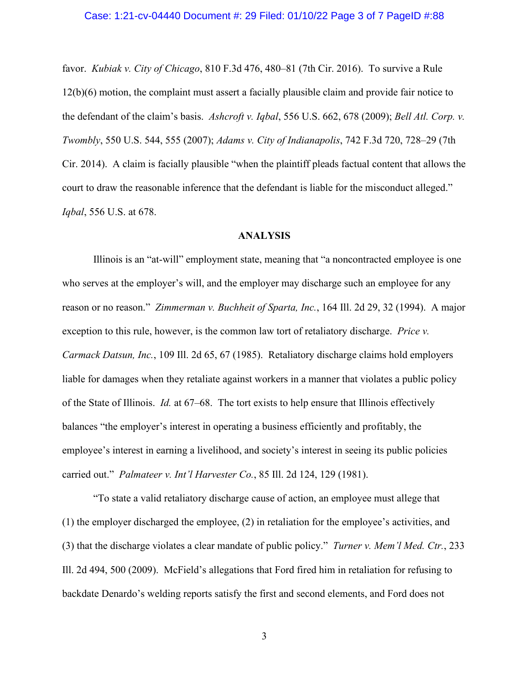### Case: 1:21-cv-04440 Document #: 29 Filed: 01/10/22 Page 3 of 7 PageID #:88

favor. *Kubiak v. City of Chicago*, 810 F.3d 476, 480–81 (7th Cir. 2016). To survive a Rule 12(b)(6) motion, the complaint must assert a facially plausible claim and provide fair notice to the defendant of the claim's basis. *Ashcroft v. Iqbal*, 556 U.S. 662, 678 (2009); *Bell Atl. Corp. v. Twombly*, 550 U.S. 544, 555 (2007); *Adams v. City of Indianapolis*, 742 F.3d 720, 728–29 (7th Cir. 2014). A claim is facially plausible "when the plaintiff pleads factual content that allows the court to draw the reasonable inference that the defendant is liable for the misconduct alleged." *Iqbal*, 556 U.S. at 678.

## **ANALYSIS**

Illinois is an "at-will" employment state, meaning that "a noncontracted employee is one who serves at the employer's will, and the employer may discharge such an employee for any reason or no reason." *Zimmerman v. Buchheit of Sparta, Inc.*, 164 Ill. 2d 29, 32 (1994). A major exception to this rule, however, is the common law tort of retaliatory discharge. *Price v. Carmack Datsun, Inc.*, 109 Ill. 2d 65, 67 (1985). Retaliatory discharge claims hold employers liable for damages when they retaliate against workers in a manner that violates a public policy of the State of Illinois. *Id.* at 67–68. The tort exists to help ensure that Illinois effectively balances "the employer's interest in operating a business efficiently and profitably, the employee's interest in earning a livelihood, and society's interest in seeing its public policies carried out." *Palmateer v. Int'l Harvester Co.*, 85 Ill. 2d 124, 129 (1981).

 "To state a valid retaliatory discharge cause of action, an employee must allege that (1) the employer discharged the employee, (2) in retaliation for the employee's activities, and (3) that the discharge violates a clear mandate of public policy." *Turner v. Mem'l Med. Ctr.*, 233 Ill. 2d 494, 500 (2009). McField's allegations that Ford fired him in retaliation for refusing to backdate Denardo's welding reports satisfy the first and second elements, and Ford does not

3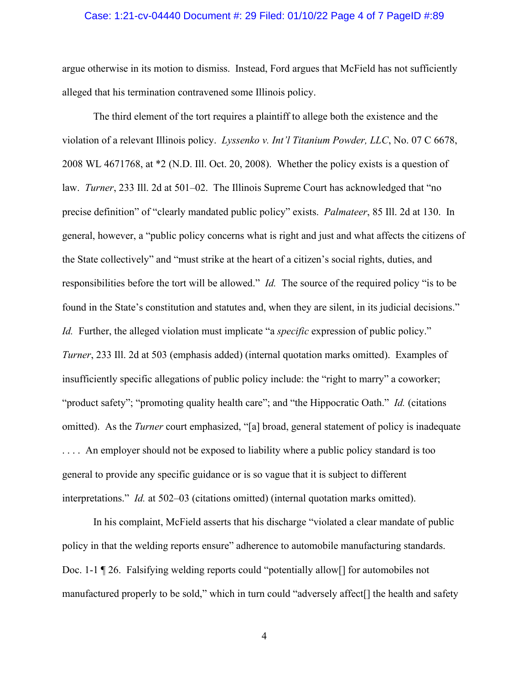## Case: 1:21-cv-04440 Document #: 29 Filed: 01/10/22 Page 4 of 7 PageID #:89

argue otherwise in its motion to dismiss. Instead, Ford argues that McField has not sufficiently alleged that his termination contravened some Illinois policy.

The third element of the tort requires a plaintiff to allege both the existence and the violation of a relevant Illinois policy. *Lyssenko v. Int'l Titanium Powder, LLC*, No. 07 C 6678, 2008 WL 4671768, at \*2 (N.D. Ill. Oct. 20, 2008). Whether the policy exists is a question of law. *Turner*, 233 Ill. 2d at 501–02. The Illinois Supreme Court has acknowledged that "no precise definition" of "clearly mandated public policy" exists. *Palmateer*, 85 Ill. 2d at 130. In general, however, a "public policy concerns what is right and just and what affects the citizens of the State collectively" and "must strike at the heart of a citizen's social rights, duties, and responsibilities before the tort will be allowed." *Id.* The source of the required policy "is to be found in the State's constitution and statutes and, when they are silent, in its judicial decisions." *Id.* Further, the alleged violation must implicate "a *specific* expression of public policy." *Turner*, 233 Ill. 2d at 503 (emphasis added) (internal quotation marks omitted). Examples of insufficiently specific allegations of public policy include: the "right to marry" a coworker; "product safety"; "promoting quality health care"; and "the Hippocratic Oath." *Id.* (citations omitted). As the *Turner* court emphasized, "[a] broad, general statement of policy is inadequate . . . . An employer should not be exposed to liability where a public policy standard is too general to provide any specific guidance or is so vague that it is subject to different interpretations." *Id.* at 502–03 (citations omitted) (internal quotation marks omitted).

In his complaint, McField asserts that his discharge "violated a clear mandate of public policy in that the welding reports ensure" adherence to automobile manufacturing standards. Doc. 1-1 ¶ 26. Falsifying welding reports could "potentially allow[] for automobiles not manufactured properly to be sold," which in turn could "adversely affect[] the health and safety

4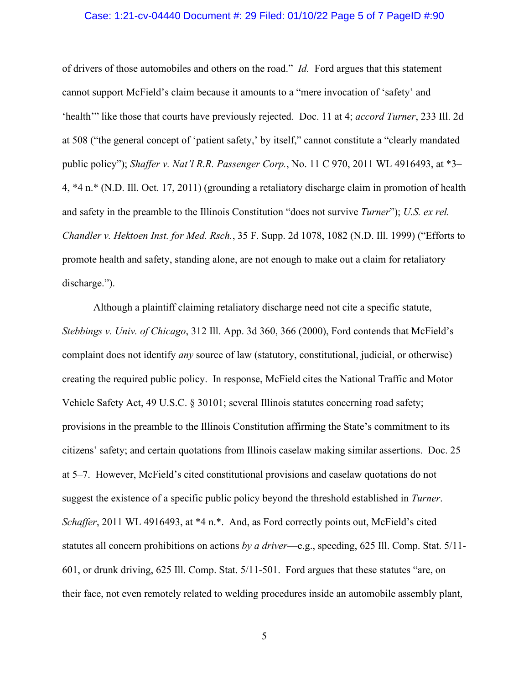## Case: 1:21-cv-04440 Document #: 29 Filed: 01/10/22 Page 5 of 7 PageID #:90

of drivers of those automobiles and others on the road." *Id.* Ford argues that this statement cannot support McField's claim because it amounts to a "mere invocation of 'safety' and 'health'" like those that courts have previously rejected. Doc. 11 at 4; *accord Turner*, 233 Ill. 2d at 508 ("the general concept of 'patient safety,' by itself," cannot constitute a "clearly mandated public policy"); *Shaffer v. Nat'l R.R. Passenger Corp.*, No. 11 C 970, 2011 WL 4916493, at \*3– 4, \*4 n.\* (N.D. Ill. Oct. 17, 2011) (grounding a retaliatory discharge claim in promotion of health and safety in the preamble to the Illinois Constitution "does not survive *Turner*"); *U.S. ex rel. Chandler v. Hektoen Inst. for Med. Rsch.*, 35 F. Supp. 2d 1078, 1082 (N.D. Ill. 1999) ("Efforts to promote health and safety, standing alone, are not enough to make out a claim for retaliatory discharge.").

 Although a plaintiff claiming retaliatory discharge need not cite a specific statute, *Stebbings v. Univ. of Chicago*, 312 Ill. App. 3d 360, 366 (2000), Ford contends that McField's complaint does not identify *any* source of law (statutory, constitutional, judicial, or otherwise) creating the required public policy. In response, McField cites the National Traffic and Motor Vehicle Safety Act, 49 U.S.C. § 30101; several Illinois statutes concerning road safety; provisions in the preamble to the Illinois Constitution affirming the State's commitment to its citizens' safety; and certain quotations from Illinois caselaw making similar assertions. Doc. 25 at 5–7. However, McField's cited constitutional provisions and caselaw quotations do not suggest the existence of a specific public policy beyond the threshold established in *Turner*. *Schaffer*, 2011 WL 4916493, at \*4 n.\*. And, as Ford correctly points out, McField's cited statutes all concern prohibitions on actions *by a driver*—e.g., speeding, 625 Ill. Comp. Stat. 5/11- 601, or drunk driving, 625 Ill. Comp. Stat. 5/11-501. Ford argues that these statutes "are, on their face, not even remotely related to welding procedures inside an automobile assembly plant,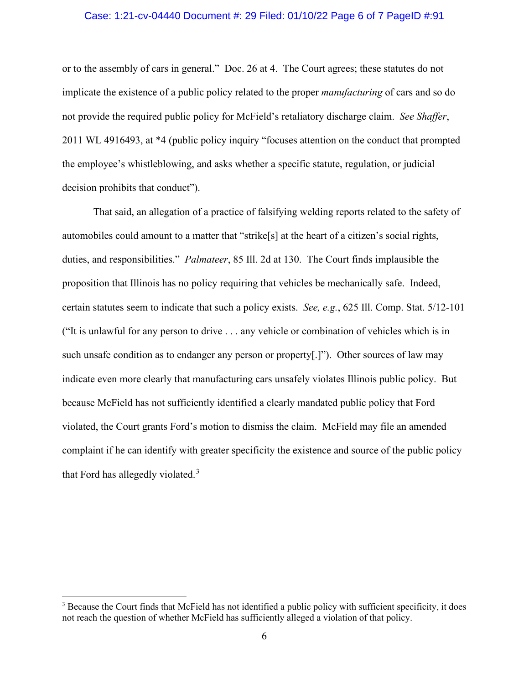## Case: 1:21-cv-04440 Document #: 29 Filed: 01/10/22 Page 6 of 7 PageID #:91

or to the assembly of cars in general." Doc. 26 at 4. The Court agrees; these statutes do not implicate the existence of a public policy related to the proper *manufacturing* of cars and so do not provide the required public policy for McField's retaliatory discharge claim. *See Shaffer*, 2011 WL 4916493, at \*4 (public policy inquiry "focuses attention on the conduct that prompted the employee's whistleblowing, and asks whether a specific statute, regulation, or judicial decision prohibits that conduct").

 That said, an allegation of a practice of falsifying welding reports related to the safety of automobiles could amount to a matter that "strike[s] at the heart of a citizen's social rights, duties, and responsibilities." *Palmateer*, 85 Ill. 2d at 130. The Court finds implausible the proposition that Illinois has no policy requiring that vehicles be mechanically safe. Indeed, certain statutes seem to indicate that such a policy exists. *See, e.g.*, 625 Ill. Comp. Stat. 5/12-101 ("It is unlawful for any person to drive . . . any vehicle or combination of vehicles which is in such unsafe condition as to endanger any person or property[.]"). Other sources of law may indicate even more clearly that manufacturing cars unsafely violates Illinois public policy. But because McField has not sufficiently identified a clearly mandated public policy that Ford violated, the Court grants Ford's motion to dismiss the claim. McField may file an amended complaint if he can identify with greater specificity the existence and source of the public policy that Ford has allegedly violated.<sup>[3](#page-5-0)</sup>

<span id="page-5-0"></span><sup>&</sup>lt;sup>3</sup> Because the Court finds that McField has not identified a public policy with sufficient specificity, it does not reach the question of whether McField has sufficiently alleged a violation of that policy.